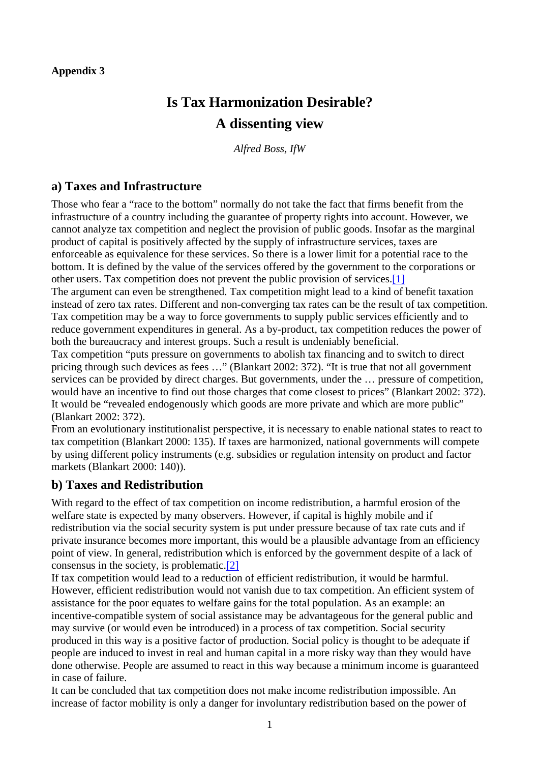# **Is Tax Harmonization Desirable? A dissenting view**

*Alfred Boss, IfW* 

#### **a) Taxes and Infrastructure**

Those who fear a "race to the bottom" normally do not take the fact that firms benefit from the infrastructure of a country including the guarantee of property rights into account. However, we cannot analyze tax competition and neglect the provision of public goods. Insofar as the marginal product of capital is positively affected by the supply of infrastructure services, taxes are enforceable as equivalence for these services. So there is a lower limit for a potential race to the bottom. It is defined by the value of the services offered by the government to the corporations or other users. Tax competition does not prevent the public provision of services.[1]

The argument can even be strengthened. Tax competition might lead to a kind of benefit taxation instead of zero tax rates. Different and non-converging tax rates can be the result of tax competition. Tax competition may be a way to force governments to supply public services efficiently and to reduce government expenditures in general. As a by-product, tax competition reduces the power of both the bureaucracy and interest groups. Such a result is undeniably beneficial.

Tax competition "puts pressure on governments to abolish tax financing and to switch to direct pricing through such devices as fees …" (Blankart 2002: 372). "It is true that not all government services can be provided by direct charges. But governments, under the … pressure of competition, would have an incentive to find out those charges that come closest to prices" (Blankart 2002: 372). It would be "revealed endogenously which goods are more private and which are more public" (Blankart 2002: 372).

From an evolutionary institutionalist perspective, it is necessary to enable national states to react to tax competition (Blankart 2000: 135). If taxes are harmonized, national governments will compete by using different policy instruments (e.g. subsidies or regulation intensity on product and factor markets (Blankart 2000: 140)).

### **b) Taxes and Redistribution**

With regard to the effect of tax competition on income redistribution, a harmful erosion of the welfare state is expected by many observers. However, if capital is highly mobile and if redistribution via the social security system is put under pressure because of tax rate cuts and if private insurance becomes more important, this would be a plausible advantage from an efficiency point of view. In general, redistribution which is enforced by the government despite of a lack of consensus in the society, is problematic.[2]

If tax competition would lead to a reduction of efficient redistribution, it would be harmful. However, efficient redistribution would not vanish due to tax competition. An efficient system of assistance for the poor equates to welfare gains for the total population. As an example: an incentive-compatible system of social assistance may be advantageous for the general public and may survive (or would even be introduced) in a process of tax competition. Social security produced in this way is a positive factor of production. Social policy is thought to be adequate if people are induced to invest in real and human capital in a more risky way than they would have done otherwise. People are assumed to react in this way because a minimum income is guaranteed in case of failure.

It can be concluded that tax competition does not make income redistribution impossible. An increase of factor mobility is only a danger for involuntary redistribution based on the power of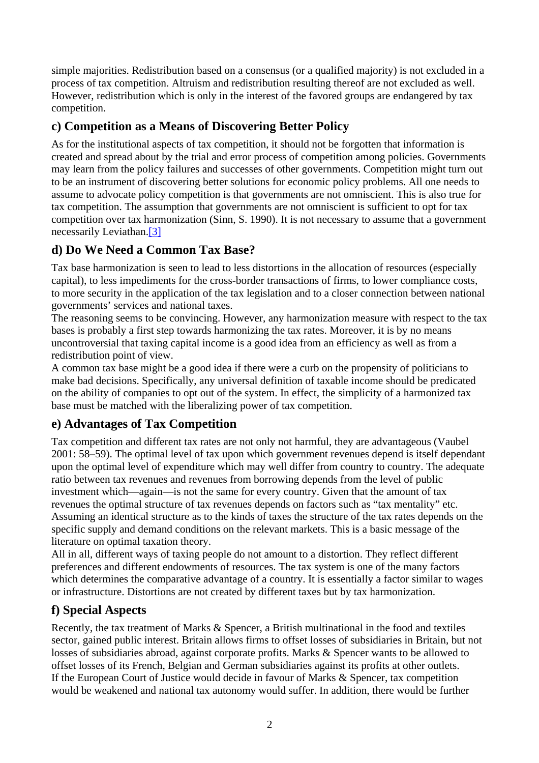simple majorities. Redistribution based on a consensus (or a qualified majority) is not excluded in a process of tax competition. Altruism and redistribution resulting thereof are not excluded as well. However, redistribution which is only in the interest of the favored groups are endangered by tax competition.

### **c) Competition as a Means of Discovering Better Policy**

As for the institutional aspects of tax competition, it should not be forgotten that information is created and spread about by the trial and error process of competition among policies. Governments may learn from the policy failures and successes of other governments. Competition might turn out to be an instrument of discovering better solutions for economic policy problems. All one needs to assume to advocate policy competition is that governments are not omniscient. This is also true for tax competition. The assumption that governments are not omniscient is sufficient to opt for tax competition over tax harmonization (Sinn, S. 1990). It is not necessary to assume that a government necessarily Leviathan.<sup>[3]</sup>

# **d) Do We Need a Common Tax Base?**

Tax base harmonization is seen to lead to less distortions in the allocation of resources (especially capital), to less impediments for the cross-border transactions of firms, to lower compliance costs, to more security in the application of the tax legislation and to a closer connection between national governments' services and national taxes.

The reasoning seems to be convincing. However, any harmonization measure with respect to the tax bases is probably a first step towards harmonizing the tax rates. Moreover, it is by no means uncontroversial that taxing capital income is a good idea from an efficiency as well as from a redistribution point of view.

A common tax base might be a good idea if there were a curb on the propensity of politicians to make bad decisions. Specifically, any universal definition of taxable income should be predicated on the ability of companies to opt out of the system. In effect, the simplicity of a harmonized tax base must be matched with the liberalizing power of tax competition.

# **e) Advantages of Tax Competition**

Tax competition and different tax rates are not only not harmful, they are advantageous (Vaubel 2001: 58–59). The optimal level of tax upon which government revenues depend is itself dependant upon the optimal level of expenditure which may well differ from country to country. The adequate ratio between tax revenues and revenues from borrowing depends from the level of public investment which—again—is not the same for every country. Given that the amount of tax revenues the optimal structure of tax revenues depends on factors such as "tax mentality" etc. Assuming an identical structure as to the kinds of taxes the structure of the tax rates depends on the specific supply and demand conditions on the relevant markets. This is a basic message of the literature on optimal taxation theory.

All in all, different ways of taxing people do not amount to a distortion. They reflect different preferences and different endowments of resources. The tax system is one of the many factors which determines the comparative advantage of a country. It is essentially a factor similar to wages or infrastructure. Distortions are not created by different taxes but by tax harmonization.

### **f) Special Aspects**

Recently, the tax treatment of Marks & Spencer, a British multinational in the food and textiles sector, gained public interest. Britain allows firms to offset losses of subsidiaries in Britain, but not losses of subsidiaries abroad, against corporate profits. Marks & Spencer wants to be allowed to offset losses of its French, Belgian and German subsidiaries against its profits at other outlets. If the European Court of Justice would decide in favour of Marks & Spencer, tax competition would be weakened and national tax autonomy would suffer. In addition, there would be further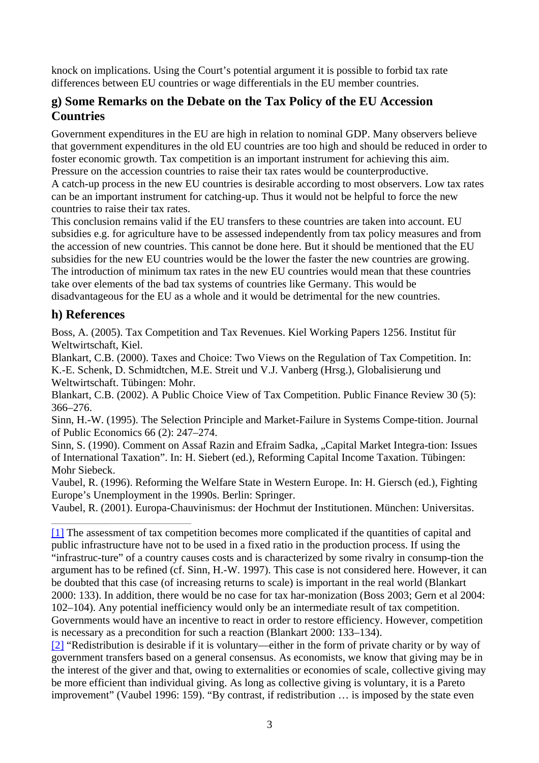knock on implications. Using the Court's potential argument it is possible to forbid tax rate differences between EU countries or wage differentials in the EU member countries.

### **g) Some Remarks on the Debate on the Tax Policy of the EU Accession Countries**

Government expenditures in the EU are high in relation to nominal GDP. Many observers believe that government expenditures in the old EU countries are too high and should be reduced in order to foster economic growth. Tax competition is an important instrument for achieving this aim. Pressure on the accession countries to raise their tax rates would be counterproductive. A catch-up process in the new EU countries is desirable according to most observers. Low tax rates can be an important instrument for catching-up. Thus it would not be helpful to force the new countries to raise their tax rates.

This conclusion remains valid if the EU transfers to these countries are taken into account. EU subsidies e.g. for agriculture have to be assessed independently from tax policy measures and from the accession of new countries. This cannot be done here. But it should be mentioned that the EU subsidies for the new EU countries would be the lower the faster the new countries are growing. The introduction of minimum tax rates in the new EU countries would mean that these countries take over elements of the bad tax systems of countries like Germany. This would be disadvantageous for the EU as a whole and it would be detrimental for the new countries.

### **h) References**

Boss, A. (2005). Tax Competition and Tax Revenues. Kiel Working Papers 1256. Institut für Weltwirtschaft, Kiel.

Blankart, C.B. (2000). Taxes and Choice: Two Views on the Regulation of Tax Competition. In: K.-E. Schenk, D. Schmidtchen, M.E. Streit und V.J. Vanberg (Hrsg.), Globalisierung und Weltwirtschaft. Tübingen: Mohr.

Blankart, C.B. (2002). A Public Choice View of Tax Competition. Public Finance Review 30 (5): 366–276.

Sinn, H.-W. (1995). The Selection Principle and Market-Failure in Systems Compe-tition. Journal of Public Economics 66 (2): 247–274.

Sinn, S. (1990). Comment on Assaf Razin and Efraim Sadka, "Capital Market Integra-tion: Issues of International Taxation". In: H. Siebert (ed.), Reforming Capital Income Taxation. Tübingen: Mohr Siebeck.

Vaubel, R. (1996). Reforming the Welfare State in Western Europe. In: H. Giersch (ed.), Fighting Europe's Unemployment in the 1990s. Berlin: Springer.

Vaubel, R. (2001). Europa-Chauvinismus: der Hochmut der Institutionen. München: Universitas.

[1] The assessment of tax competition becomes more complicated if the quantities of capital and public infrastructure have not to be used in a fixed ratio in the production process. If using the

"infrastruc-ture" of a country causes costs and is characterized by some rivalry in consump-tion the argument has to be refined (cf. Sinn, H.-W. 1997). This case is not considered here. However, it can be doubted that this case (of increasing returns to scale) is important in the real world (Blankart 2000: 133). In addition, there would be no case for tax har-monization (Boss 2003; Gern et al 2004: 102–104). Any potential inefficiency would only be an intermediate result of tax competition. Governments would have an incentive to react in order to restore efficiency. However, competition is necessary as a precondition for such a reaction (Blankart 2000: 133–134).

[2] "Redistribution is desirable if it is voluntary—either in the form of private charity or by way of government transfers based on a general consensus. As economists, we know that giving may be in the interest of the giver and that, owing to externalities or economies of scale, collective giving may be more efficient than individual giving. As long as collective giving is voluntary, it is a Pareto improvement" (Vaubel 1996: 159). "By contrast, if redistribution … is imposed by the state even